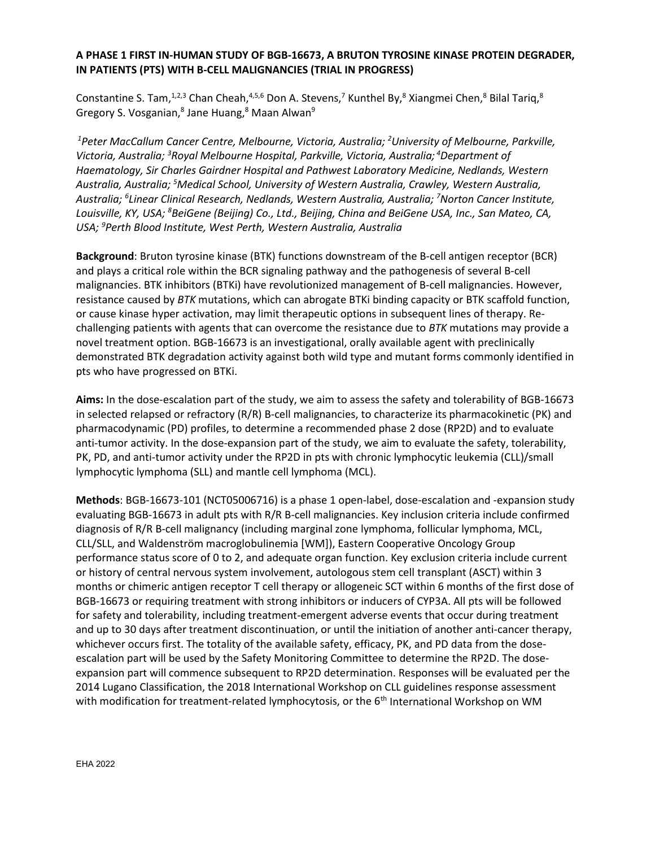## **A PHASE 1 FIRST IN-HUMAN STUDY OF BGB-16673, A BRUTON TYROSINE KINASE PROTEIN DEGRADER, IN PATIENTS (PTS) WITH B-CELL MALIGNANCIES (TRIAL IN PROGRESS)**

Constantine S. Tam,<sup>1,2,3</sup> Chan Cheah,<sup>4,5,6</sup> Don A. Stevens,<sup>7</sup> Kunthel By,<sup>8</sup> Xiangmei Chen,<sup>8</sup> Bilal Tariq,<sup>8</sup> Gregory S. Vosganian,<sup>8</sup> Jane Huang,<sup>8</sup> Maan Alwan<sup>9</sup>

 *1Peter MacCallum Cancer Centre, Melbourne, Victoria, Australia; 2 University of Melbourne, Parkville,*  Victoria, Australia; <sup>3</sup> Royal Melbourne Hospital, Parkville, Victoria, Australia; <sup>4</sup> Department of *Haematology, Sir Charles Gairdner Hospital and Pathwest Laboratory Medicine, Nedlands, Western Australia, Australia; 5 Medical School, University of Western Australia, Crawley, Western Australia, Australia; 6 Linear Clinical Research, Nedlands, Western Australia, Australia; 7 Norton Cancer Institute, Louisville, KY, USA; 8 BeiGene (Beijing) Co., Ltd., Beijing, China and BeiGene USA, Inc., San Mateo, CA, USA; 9 Perth Blood Institute, West Perth, Western Australia, Australia*

**Background**: Bruton tyrosine kinase (BTK) functions downstream of the B-cell antigen receptor (BCR) and plays a critical role within the BCR signaling pathway and the pathogenesis of several B-cell malignancies. BTK inhibitors (BTKi) have revolutionized management of B-cell malignancies. However, resistance caused by *BTK* mutations, which can abrogate BTKi binding capacity or BTK scaffold function, or cause kinase hyper activation, may limit therapeutic options in subsequent lines of therapy. Rechallenging patients with agents that can overcome the resistance due to *BTK* mutations may provide a novel treatment option. BGB-16673 is an investigational, orally available agent with preclinically demonstrated BTK degradation activity against both wild type and mutant forms commonly identified in pts who have progressed on BTKi.

**Aims:** In the dose-escalation part of the study, we aim to assess the safety and tolerability of BGB-16673 in selected relapsed or refractory (R/R) B-cell malignancies, to characterize its pharmacokinetic (PK) and pharmacodynamic (PD) profiles, to determine a recommended phase 2 dose (RP2D) and to evaluate anti-tumor activity. In the dose-expansion part of the study, we aim to evaluate the safety, tolerability, PK, PD, and anti-tumor activity under the RP2D in pts with chronic lymphocytic leukemia (CLL)/small lymphocytic lymphoma (SLL) and mantle cell lymphoma (MCL).

**Methods**: BGB-16673-101 (NCT05006716) is a phase 1 open-label, dose-escalation and -expansion study evaluating BGB-16673 in adult pts with R/R B-cell malignancies. Key inclusion criteria include confirmed diagnosis of R/R B-cell malignancy (including marginal zone lymphoma, follicular lymphoma, MCL, CLL/SLL, and Waldenström macroglobulinemia [WM]), Eastern Cooperative Oncology Group performance status score of 0 to 2, and adequate organ function. Key exclusion criteria include current or history of central nervous system involvement, autologous stem cell transplant (ASCT) within 3 months or chimeric antigen receptor T cell therapy or allogeneic SCT within 6 months of the first dose of BGB-16673 or requiring treatment with strong inhibitors or inducers of CYP3A. All pts will be followed for safety and tolerability, including treatment-emergent adverse events that occur during treatment and up to 30 days after treatment discontinuation, or until the initiation of another anti-cancer therapy, whichever occurs first. The totality of the available safety, efficacy, PK, and PD data from the doseescalation part will be used by the Safety Monitoring Committee to determine the RP2D. The doseexpansion part will commence subsequent to RP2D determination. Responses will be evaluated per the 2014 Lugano Classification, the 2018 International Workshop on CLL guidelines response assessment with modification for treatment-related lymphocytosis, or the 6<sup>th</sup> International Workshop on WM